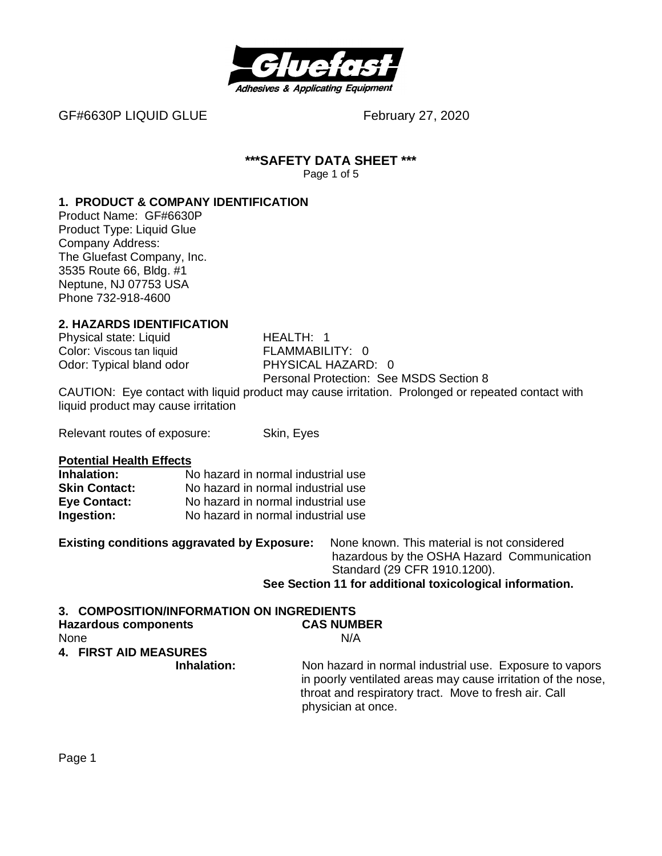

GF#6630P LIQUID GLUE February 27, 2020

#### **\*\*\*SAFETY DATA SHEET \*\*\*** Page 1 of 5

#### **1. PRODUCT & COMPANY IDENTIFICATION**

Product Name: GF#6630P Product Type: Liquid Glue Company Address: The Gluefast Company, Inc. 3535 Route 66, Bldg. #1 Neptune, NJ 07753 USA Phone 732-918-4600

# **2. HAZARDS IDENTIFICATION**

Physical state: Liquid HEALTH: 1 Odor: Typical bland odor

Color: Viscous tan liquid<br>
Odor: Tvpical bland odor

Color: Tvpical bland odor

Color: 0 Personal Protection: See MSDS Section 8

CAUTION: Eye contact with liquid product may cause irritation. Prolonged or repeated contact with liquid product may cause irritation

Relevant routes of exposure: Skin, Eyes

**Potential Health Effects**

| Inhalation:          | No hazard in normal industrial use |
|----------------------|------------------------------------|
| <b>Skin Contact:</b> | No hazard in normal industrial use |
| <b>Eye Contact:</b>  | No hazard in normal industrial use |
| Ingestion:           | No hazard in normal industrial use |

**Existing conditions aggravated by Exposure:** None known. This material is not considered hazardous by the OSHA Hazard Communication Standard (29 CFR 1910.1200). **See Section 11 for additional toxicological information.**

# **3. COMPOSITION/INFORMATION ON INGREDIENTS**

| <b>Hazardous components</b>  | <b>CAS NUMBER</b>                                                                                                                                                                                      |
|------------------------------|--------------------------------------------------------------------------------------------------------------------------------------------------------------------------------------------------------|
| None                         | N/A                                                                                                                                                                                                    |
| <b>4. FIRST AID MEASURES</b> |                                                                                                                                                                                                        |
| Inhalation:                  | Non hazard in normal industrial use. Exposure to vapors<br>in poorly ventilated areas may cause irritation of the nose.<br>throat and respiratory tract. Move to fresh air. Call<br>physician at once. |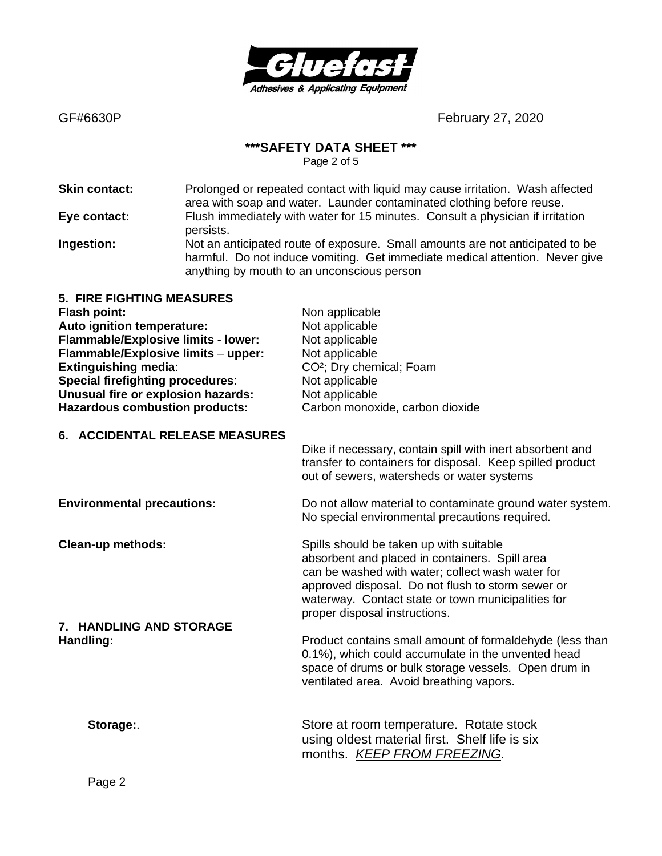

#### **\*\*\*SAFETY DATA SHEET \*\*\***

Page 2 of 5

**Skin contact:** Prolonged or repeated contact with liquid may cause irritation. Wash affected area with soap and water. Launder contaminated clothing before reuse. **Eye contact:** Flush immediately with water for 15 minutes. Consult a physician if irritation persists. **Ingestion:** Not an anticipated route of exposure. Small amounts are not anticipated to be harmful. Do not induce vomiting. Get immediate medical attention. Never give anything by mouth to an unconscious person

| 5. FIRE FIGHTING MEASURES               |                                      |
|-----------------------------------------|--------------------------------------|
| <b>Flash point:</b>                     | Non applicable                       |
| Auto ignition temperature:              | Not applicable                       |
| Flammable/Explosive limits - lower:     | Not applicable                       |
| Flammable/Explosive limits - upper:     | Not applicable                       |
| <b>Extinguishing media:</b>             | CO <sup>2</sup> ; Dry chemical; Foam |
| <b>Special firefighting procedures:</b> | Not applicable                       |
| Unusual fire or explosion hazards:      | Not applicable                       |
| <b>Hazardous combustion products:</b>   | Carbon monoxide, carbon dioxide      |
|                                         |                                      |

#### **6. ACCIDENTAL RELEASE MEASURES**

Dike if necessary, contain spill with inert absorbent and transfer to containers for disposal. Keep spilled product out of sewers, watersheds or water systems

**7. HANDLING AND STORAGE**

**Environmental precautions:** Do not allow material to contaminate ground water system. No special environmental precautions required.

**Clean-up methods:** Spills should be taken up with suitable should be taken up with suitable absorbent and placed in containers. Spill area can be washed with water; collect wash water for approved disposal. Do not flush to storm sewer or waterway. Contact state or town municipalities for proper disposal instructions.

**Handling: Handling: Product contains small amount of formaldehyde (less than** 0.1%), which could accumulate in the unvented head space of drums or bulk storage vessels. Open drum in ventilated area. Avoid breathing vapors.

**Storage:**. Store at room temperature. Rotate stock using oldest material first. Shelf life is six months. *KEEP FROM FREEZING*.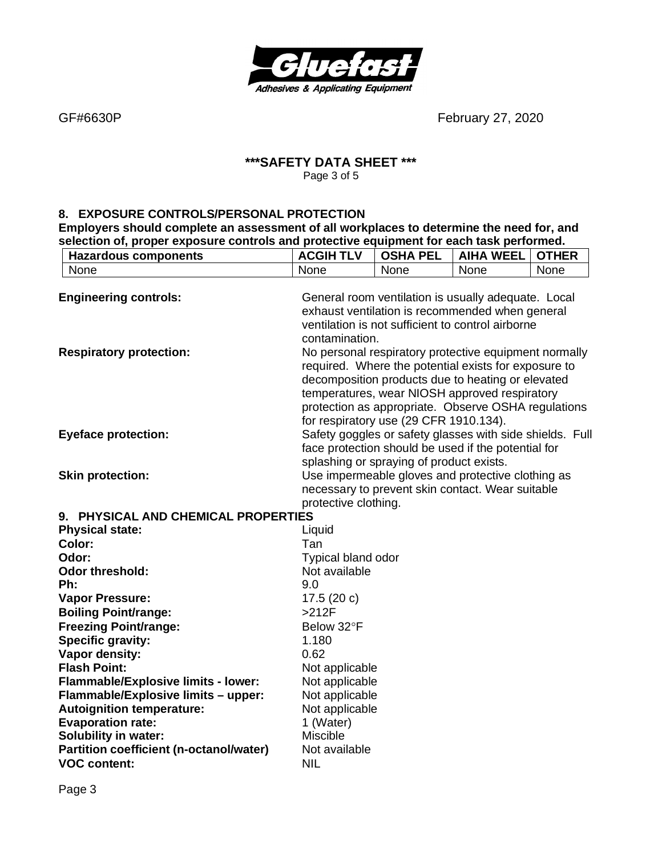

#### **\*\*\*SAFETY DATA SHEET \*\*\*** Page 3 of 5

#### **8. EXPOSURE CONTROLS/PERSONAL PROTECTION**

**Employers should complete an assessment of all workplaces to determine the need for, and selection of, proper exposure controls and protective equipment for each task performed.**

| <b>Hazardous components</b>                                  | <b>ACGIH TLV</b>                                                                                                                                                                                                                                                                                                     | <b>OSHA PEL</b>                                                                                                                                             | <b>AIHA WEEL</b> | <b>OTHER</b> |
|--------------------------------------------------------------|----------------------------------------------------------------------------------------------------------------------------------------------------------------------------------------------------------------------------------------------------------------------------------------------------------------------|-------------------------------------------------------------------------------------------------------------------------------------------------------------|------------------|--------------|
| None                                                         | None                                                                                                                                                                                                                                                                                                                 | None                                                                                                                                                        | None             | None         |
| <b>Engineering controls:</b>                                 | General room ventilation is usually adequate. Local<br>exhaust ventilation is recommended when general<br>ventilation is not sufficient to control airborne<br>contamination.                                                                                                                                        |                                                                                                                                                             |                  |              |
| <b>Respiratory protection:</b>                               | No personal respiratory protective equipment normally<br>required. Where the potential exists for exposure to<br>decomposition products due to heating or elevated<br>temperatures, wear NIOSH approved respiratory<br>protection as appropriate. Observe OSHA regulations<br>for respiratory use (29 CFR 1910.134). |                                                                                                                                                             |                  |              |
| <b>Eyeface protection:</b>                                   |                                                                                                                                                                                                                                                                                                                      | Safety goggles or safety glasses with side shields. Full<br>face protection should be used if the potential for<br>splashing or spraying of product exists. |                  |              |
| <b>Skin protection:</b>                                      | protective clothing.                                                                                                                                                                                                                                                                                                 | Use impermeable gloves and protective clothing as<br>necessary to prevent skin contact. Wear suitable                                                       |                  |              |
| 9. PHYSICAL AND CHEMICAL PROPERTIES                          |                                                                                                                                                                                                                                                                                                                      |                                                                                                                                                             |                  |              |
| <b>Physical state:</b>                                       | Liquid                                                                                                                                                                                                                                                                                                               |                                                                                                                                                             |                  |              |
| Color:                                                       | Tan                                                                                                                                                                                                                                                                                                                  |                                                                                                                                                             |                  |              |
| Odor:                                                        | Typical bland odor                                                                                                                                                                                                                                                                                                   |                                                                                                                                                             |                  |              |
| <b>Odor threshold:</b>                                       | Not available                                                                                                                                                                                                                                                                                                        |                                                                                                                                                             |                  |              |
| Ph:                                                          | 9.0                                                                                                                                                                                                                                                                                                                  |                                                                                                                                                             |                  |              |
| <b>Vapor Pressure:</b>                                       | 17.5 $(20 c)$                                                                                                                                                                                                                                                                                                        |                                                                                                                                                             |                  |              |
| <b>Boiling Point/range:</b>                                  | $>212F$                                                                                                                                                                                                                                                                                                              |                                                                                                                                                             |                  |              |
| <b>Freezing Point/range:</b>                                 | Below 32°F                                                                                                                                                                                                                                                                                                           |                                                                                                                                                             |                  |              |
| Specific gravity:                                            | 1.180                                                                                                                                                                                                                                                                                                                |                                                                                                                                                             |                  |              |
| Vapor density:                                               | 0.62                                                                                                                                                                                                                                                                                                                 |                                                                                                                                                             |                  |              |
| <b>Flash Point:</b>                                          | Not applicable                                                                                                                                                                                                                                                                                                       |                                                                                                                                                             |                  |              |
| Flammable/Explosive limits - lower:                          | Not applicable                                                                                                                                                                                                                                                                                                       |                                                                                                                                                             |                  |              |
| Flammable/Explosive limits - upper:                          | Not applicable                                                                                                                                                                                                                                                                                                       |                                                                                                                                                             |                  |              |
| <b>Autoignition temperature:</b><br><b>Evaporation rate:</b> | Not applicable                                                                                                                                                                                                                                                                                                       |                                                                                                                                                             |                  |              |
| <b>Solubility in water:</b>                                  | 1 (Water)<br><b>Miscible</b>                                                                                                                                                                                                                                                                                         |                                                                                                                                                             |                  |              |
| <b>Partition coefficient (n-octanol/water)</b>               | Not available                                                                                                                                                                                                                                                                                                        |                                                                                                                                                             |                  |              |
| <b>VOC content:</b>                                          | <b>NIL</b>                                                                                                                                                                                                                                                                                                           |                                                                                                                                                             |                  |              |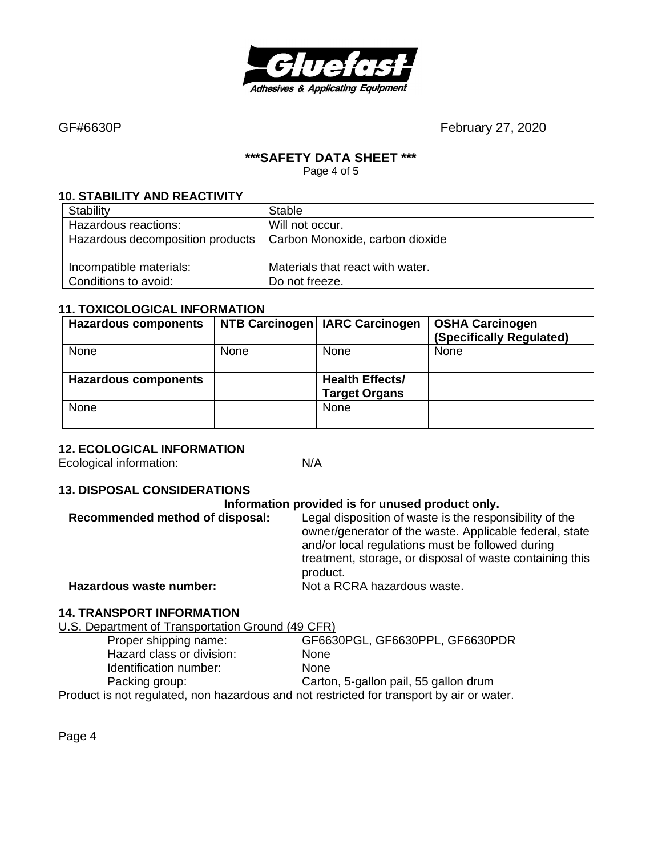

#### **\*\*\*SAFETY DATA SHEET \*\*\***

Page 4 of 5

#### **10. STABILITY AND REACTIVITY**

| Stability                        | Stable                           |
|----------------------------------|----------------------------------|
| Hazardous reactions:             | Will not occur.                  |
| Hazardous decomposition products | Carbon Monoxide, carbon dioxide  |
| Incompatible materials:          | Materials that react with water. |
| Conditions to avoid:             | Do not freeze.                   |

#### **11. TOXICOLOGICAL INFORMATION**

| <b>Hazardous components</b> |      | NTB Carcinogen   IARC Carcinogen | <b>OSHA Carcinogen</b><br>(Specifically Regulated) |
|-----------------------------|------|----------------------------------|----------------------------------------------------|
| None                        | None | None                             | None                                               |
|                             |      |                                  |                                                    |
| <b>Hazardous components</b> |      | <b>Health Effects/</b>           |                                                    |
|                             |      | <b>Target Organs</b>             |                                                    |
| None                        |      | None                             |                                                    |
|                             |      |                                  |                                                    |

#### **12. ECOLOGICAL INFORMATION**

Ecological information: N/A

#### **13. DISPOSAL CONSIDERATIONS**

#### **Information provided is for unused product only.**

| Recommended method of disposal: | Legal disposition of waste is the responsibility of the<br>owner/generator of the waste. Applicable federal, state<br>and/or local regulations must be followed during<br>treatment, storage, or disposal of waste containing this<br>product. |
|---------------------------------|------------------------------------------------------------------------------------------------------------------------------------------------------------------------------------------------------------------------------------------------|
| Hazardous waste number:         | Not a RCRA hazardous waste.                                                                                                                                                                                                                    |
|                                 |                                                                                                                                                                                                                                                |

# **14. TRANSPORT INFORMATION**

U.S. Department of Transportation Ground (49 CFR) Proper shipping name: GF6630PGL, GF6630PPL, GF6630PDR Hazard class or division: None Identification number: None Packing group: Carton, 5-gallon pail, 55 gallon drum Product is not regulated, non hazardous and not restricted for transport by air or water.

Page 4